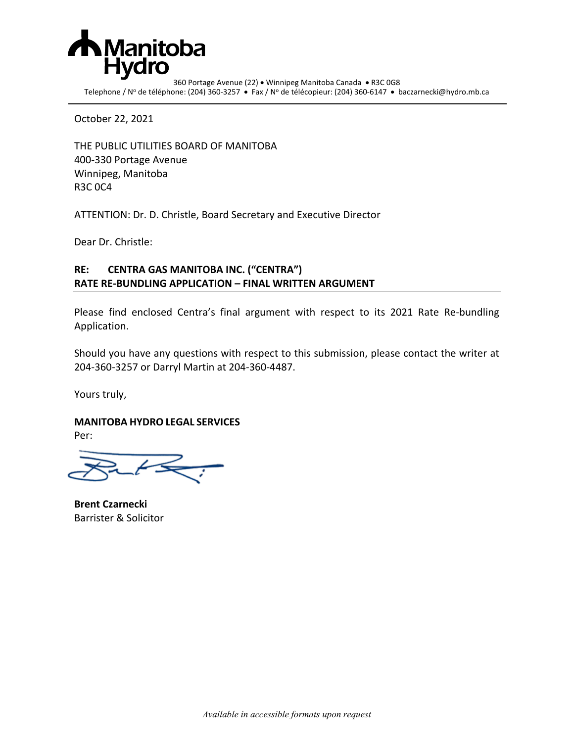

360 Portage Avenue (22) • Winnipeg Manitoba Canada • R3C 0G8 Telephone / Nº de téléphone: (204) 360-3257 • Fax / Nº de télécopieur: (204) 360-6147 • baczarnecki@hydro.mb.ca

October 22, 2021

THE PUBLIC UTILITIES BOARD OF MANITOBA 400-330 Portage Avenue Winnipeg, Manitoba R3C 0C4

ATTENTION: Dr. D. Christle, Board Secretary and Executive Director

Dear Dr. Christle:

## **RE: CENTRA GAS MANITOBA INC. ("CENTRA") RATE RE-BUNDLING APPLICATION – FINAL WRITTEN ARGUMENT**

Please find enclosed Centra's final argument with respect to its 2021 Rate Re-bundling Application.

Should you have any questions with respect to this submission, please contact the writer at 204-360-3257 or Darryl Martin at 204-360-4487.

Yours truly,

**MANITOBA HYDRO LEGAL SERVICES**

Per:

**Brent Czarnecki** Barrister & Solicitor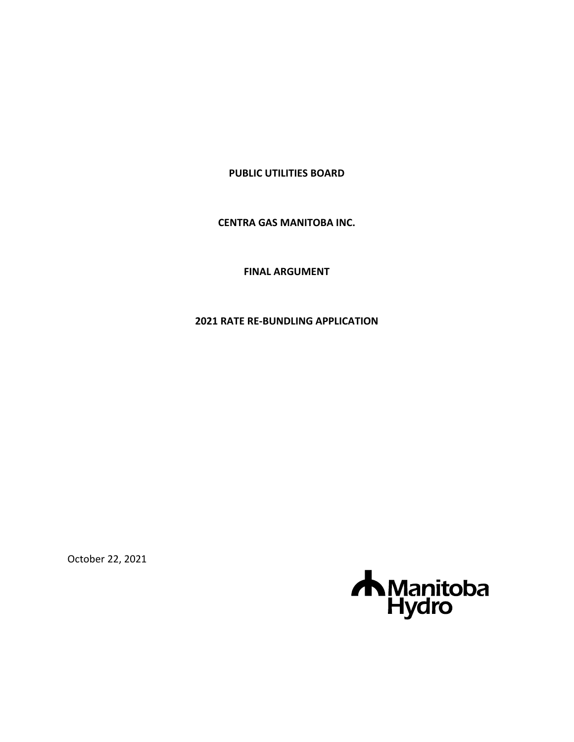### **PUBLIC UTILITIES BOARD**

**CENTRA GAS MANITOBA INC.**

**FINAL ARGUMENT**

**2021 RATE RE-BUNDLING APPLICATION**

October 22, 2021

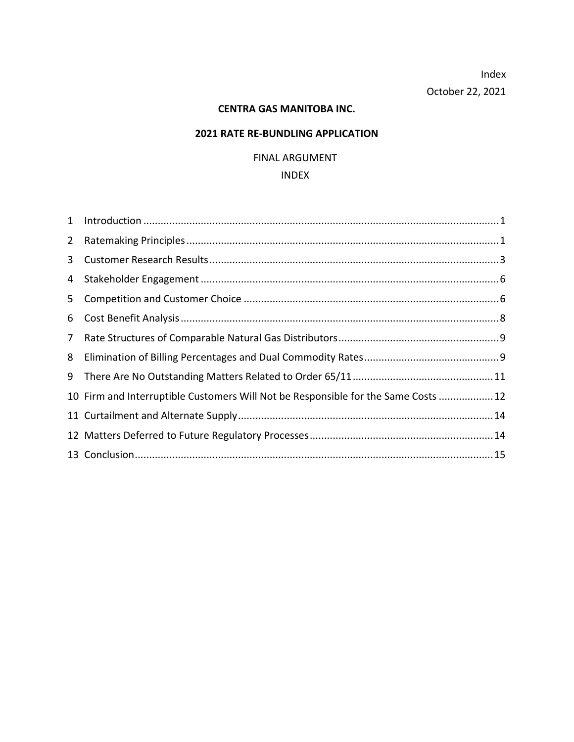Index October 22, 2021

### **CENTRA GAS MANITOBA INC.**

## **2021 RATE RE-BUNDLING APPLICATION**

## FINAL ARGUMENT

#### INDEX

| $2^{\circ}$    |                                                                                   |  |
|----------------|-----------------------------------------------------------------------------------|--|
| 3 <sup>7</sup> |                                                                                   |  |
| 4              |                                                                                   |  |
| 5 <sub>1</sub> |                                                                                   |  |
| 6              |                                                                                   |  |
| 7 <sup>7</sup> |                                                                                   |  |
| 8              |                                                                                   |  |
|                |                                                                                   |  |
|                | 10 Firm and Interruptible Customers Will Not be Responsible for the Same Costs 12 |  |
|                |                                                                                   |  |
|                |                                                                                   |  |
|                |                                                                                   |  |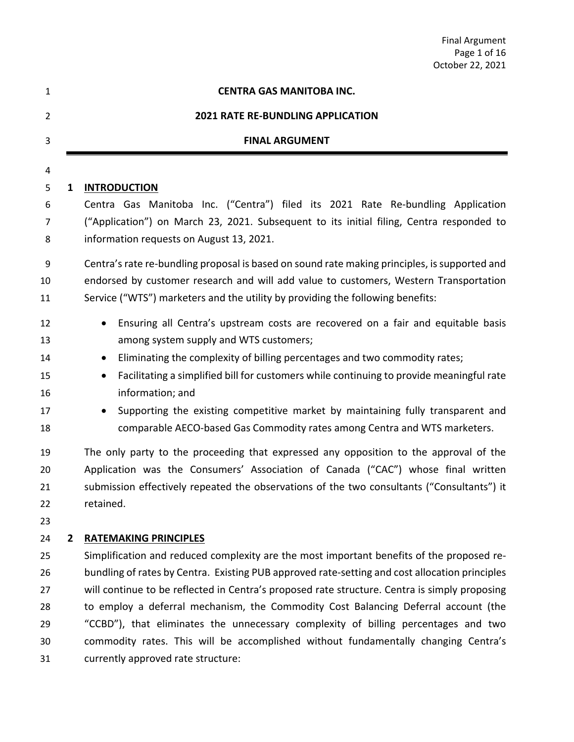| <b>Final Argument</b> |
|-----------------------|
| Page 1 of 16          |
| October 22, 2021      |

<span id="page-3-1"></span><span id="page-3-0"></span>

| 1              |                | <b>CENTRA GAS MANITOBA INC.</b>                                                                       |
|----------------|----------------|-------------------------------------------------------------------------------------------------------|
| $\overline{2}$ |                | <b>2021 RATE RE-BUNDLING APPLICATION</b>                                                              |
| 3              |                | <b>FINAL ARGUMENT</b>                                                                                 |
| 4              |                |                                                                                                       |
| 5              | 1              | <b>INTRODUCTION</b>                                                                                   |
| 6              |                | Centra Gas Manitoba Inc. ("Centra") filed its 2021 Rate Re-bundling Application                       |
| 7              |                | ("Application") on March 23, 2021. Subsequent to its initial filing, Centra responded to              |
| 8              |                | information requests on August 13, 2021.                                                              |
| 9              |                | Centra's rate re-bundling proposal is based on sound rate making principles, is supported and         |
| 10             |                | endorsed by customer research and will add value to customers, Western Transportation                 |
| 11             |                | Service ("WTS") marketers and the utility by providing the following benefits:                        |
| 12             |                | Ensuring all Centra's upstream costs are recovered on a fair and equitable basis                      |
| 13             |                | among system supply and WTS customers;                                                                |
| 14             |                | Eliminating the complexity of billing percentages and two commodity rates;<br>$\bullet$               |
| 15             |                | Facilitating a simplified bill for customers while continuing to provide meaningful rate<br>$\bullet$ |
| 16             |                | information; and                                                                                      |
| 17             |                | Supporting the existing competitive market by maintaining fully transparent and                       |
| 18             |                | comparable AECO-based Gas Commodity rates among Centra and WTS marketers.                             |
| 19             |                | The only party to the proceeding that expressed any opposition to the approval of the                 |
| 20             |                | Application was the Consumers' Association of Canada ("CAC") whose final written                      |
| 21             |                | submission effectively repeated the observations of the two consultants ("Consultants") it            |
| 22             |                | retained.                                                                                             |
| 23             |                |                                                                                                       |
| 24             | $\overline{2}$ | <b>RATEMAKING PRINCIPLES</b>                                                                          |
| 25             |                | Simplification and reduced complexity are the most important benefits of the proposed re-             |
| 26             |                | bundling of rates by Centra. Existing PUB approved rate-setting and cost allocation principles        |
| 27             |                | will continue to be reflected in Centra's proposed rate structure. Centra is simply proposing         |
| 28             |                | to employ a deferral mechanism, the Commodity Cost Balancing Deferral account (the                    |
| 29             |                | "CCBD"), that eliminates the unnecessary complexity of billing percentages and two                    |
| 30             |                | commodity rates. This will be accomplished without fundamentally changing Centra's                    |
| 31             |                | currently approved rate structure:                                                                    |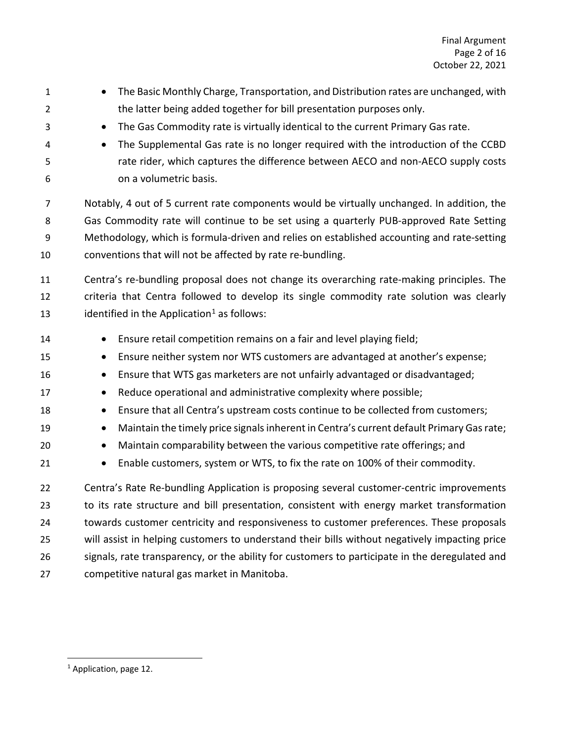| $\mathbf{1}$   | The Basic Monthly Charge, Transportation, and Distribution rates are unchanged, with                  |
|----------------|-------------------------------------------------------------------------------------------------------|
| $\overline{2}$ | the latter being added together for bill presentation purposes only.                                  |
| 3              | The Gas Commodity rate is virtually identical to the current Primary Gas rate.<br>$\bullet$           |
| 4              | The Supplemental Gas rate is no longer required with the introduction of the CCBD<br>$\bullet$        |
| 5              | rate rider, which captures the difference between AECO and non-AECO supply costs                      |
| 6              | on a volumetric basis.                                                                                |
| 7              | Notably, 4 out of 5 current rate components would be virtually unchanged. In addition, the            |
| 8              | Gas Commodity rate will continue to be set using a quarterly PUB-approved Rate Setting                |
| 9              | Methodology, which is formula-driven and relies on established accounting and rate-setting            |
| 10             | conventions that will not be affected by rate re-bundling.                                            |
| 11             | Centra's re-bundling proposal does not change its overarching rate-making principles. The             |
| 12             | criteria that Centra followed to develop its single commodity rate solution was clearly               |
| 13             | identified in the Application <sup>1</sup> as follows:                                                |
| 14             | Ensure retail competition remains on a fair and level playing field;                                  |
| 15             | Ensure neither system nor WTS customers are advantaged at another's expense;<br>$\bullet$             |
| 16             | Ensure that WTS gas marketers are not unfairly advantaged or disadvantaged;<br>$\bullet$              |
| 17             | Reduce operational and administrative complexity where possible;<br>$\bullet$                         |
| 18             | Ensure that all Centra's upstream costs continue to be collected from customers;<br>$\bullet$         |
| 19             | Maintain the timely price signals inherent in Centra's current default Primary Gas rate;<br>$\bullet$ |
| 20             | Maintain comparability between the various competitive rate offerings; and<br>$\bullet$               |
| 21             | Enable customers, system or WTS, to fix the rate on 100% of their commodity.<br>$\bullet$             |
| 22             | Centra's Rate Re-bundling Application is proposing several customer-centric improvements              |
| 23             | to its rate structure and bill presentation, consistent with energy market transformation             |
| 24             | towards customer centricity and responsiveness to customer preferences. These proposals               |
| 25             | will assist in helping customers to understand their bills without negatively impacting price         |
| 26             | signals, rate transparency, or the ability for customers to participate in the deregulated and        |
| 27             | competitive natural gas market in Manitoba.                                                           |
|                |                                                                                                       |

<span id="page-4-0"></span><sup>&</sup>lt;sup>1</sup> Application, page 12.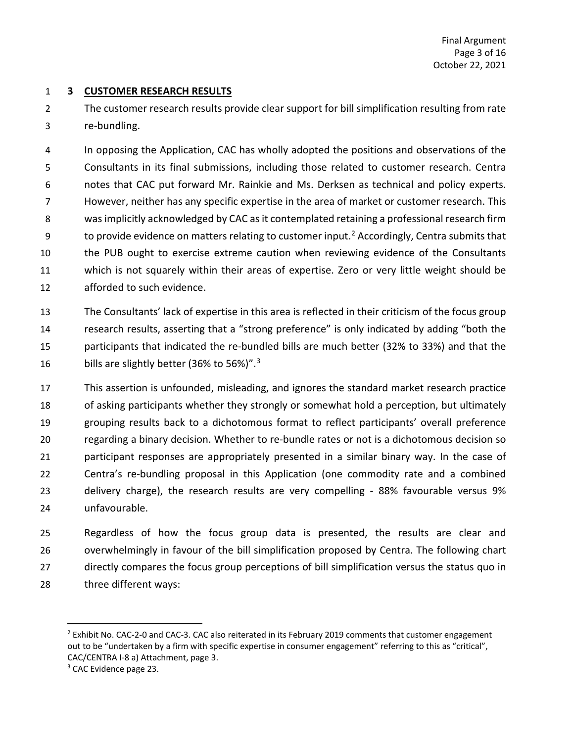### <span id="page-5-0"></span>**3 CUSTOMER RESEARCH RESULTS**

 The customer research results provide clear support for bill simplification resulting from rate re-bundling.

 In opposing the Application, CAC has wholly adopted the positions and observations of the Consultants in its final submissions, including those related to customer research. Centra notes that CAC put forward Mr. Rainkie and Ms. Derksen as technical and policy experts. However, neither has any specific expertise in the area of market or customer research. This was implicitly acknowledged by CAC as it contemplated retaining a professional research firm 9 to provide evidence on matters relating to customer input.<sup>[2](#page-5-1)</sup> Accordingly, Centra submits that the PUB ought to exercise extreme caution when reviewing evidence of the Consultants which is not squarely within their areas of expertise. Zero or very little weight should be afforded to such evidence.

 The Consultants' lack of expertise in this area is reflected in their criticism of the focus group research results, asserting that a "strong preference" is only indicated by adding "both the participants that indicated the re-bundled bills are much better (32% to 33%) and that the 16 bills are slightly better ([3](#page-5-2)6% to 56%)". $3$ 

 This assertion is unfounded, misleading, and ignores the standard market research practice of asking participants whether they strongly or somewhat hold a perception, but ultimately grouping results back to a dichotomous format to reflect participants' overall preference regarding a binary decision. Whether to re-bundle rates or not is a dichotomous decision so participant responses are appropriately presented in a similar binary way. In the case of Centra's re-bundling proposal in this Application (one commodity rate and a combined delivery charge), the research results are very compelling - 88% favourable versus 9% unfavourable.

 Regardless of how the focus group data is presented, the results are clear and overwhelmingly in favour of the bill simplification proposed by Centra. The following chart directly compares the focus group perceptions of bill simplification versus the status quo in three different ways:

<span id="page-5-1"></span><sup>&</sup>lt;sup>2</sup> Exhibit No. CAC-2-0 and CAC-3. CAC also reiterated in its February 2019 comments that customer engagement out to be "undertaken by a firm with specific expertise in consumer engagement" referring to this as "critical", CAC/CENTRA I-8 a) Attachment, page 3.<br><sup>3</sup> CAC Evidence page 23.

<span id="page-5-2"></span>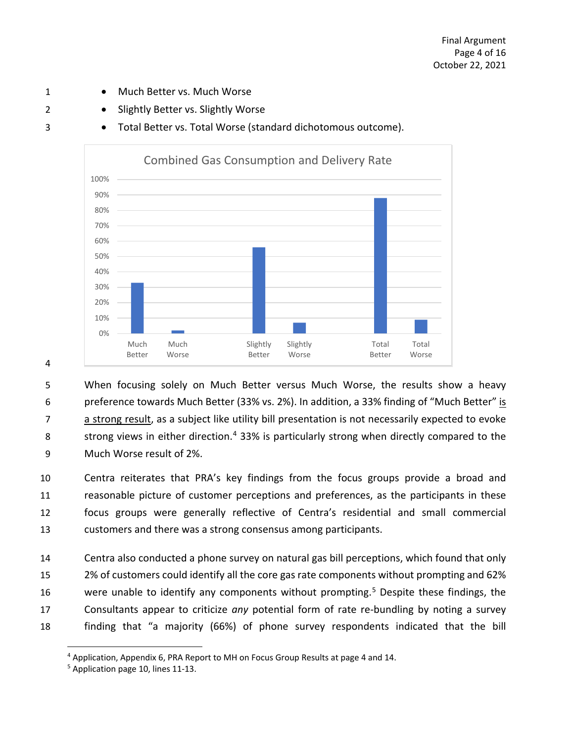- 1 Much Better vs. Much Worse
- 2 Slightly Better vs. Slightly Worse
- 3 Total Better vs. Total Worse (standard dichotomous outcome).



4

 When focusing solely on Much Better versus Much Worse, the results show a heavy preference towards Much Better (33% vs. 2%). In addition, a 33% finding of "Much Better" is a strong result, as a subject like utility bill presentation is not necessarily expected to evoke 8 strong views in either direction.<sup>[4](#page-6-0)</sup> 33% is particularly strong when directly compared to the Much Worse result of 2%.

 Centra reiterates that PRA's key findings from the focus groups provide a broad and reasonable picture of customer perceptions and preferences, as the participants in these focus groups were generally reflective of Centra's residential and small commercial customers and there was a strong consensus among participants.

 Centra also conducted a phone survey on natural gas bill perceptions, which found that only 2% of customers could identify all the core gas rate components without prompting and 62% 16 were unable to identify any components without prompting.<sup>[5](#page-6-1)</sup> Despite these findings, the Consultants appear to criticize *any* potential form of rate re-bundling by noting a survey finding that "a majority (66%) of phone survey respondents indicated that the bill

<span id="page-6-0"></span><sup>&</sup>lt;sup>4</sup> Application, Appendix 6, PRA Report to MH on Focus Group Results at page 4 and 14.<br><sup>5</sup> Application page 10, lines 11-13.

<span id="page-6-1"></span>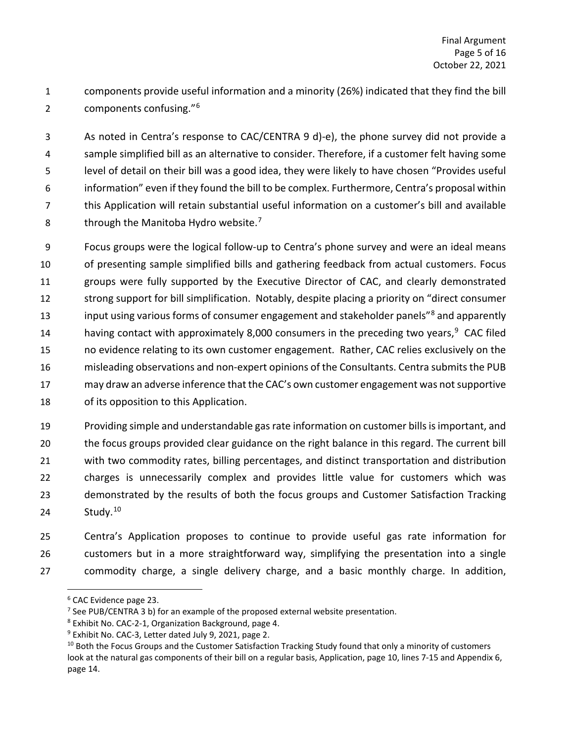components provide useful information and a minority (26%) indicated that they find the bill 2 components confusing."<sup>[6](#page-7-0)</sup>

 As noted in Centra's response to CAC/CENTRA 9 d)-e), the phone survey did not provide a sample simplified bill as an alternative to consider. Therefore, if a customer felt having some level of detail on their bill was a good idea, they were likely to have chosen "Provides useful information" even if they found the bill to be complex. Furthermore, Centra's proposal within this Application will retain substantial useful information on a customer's bill and available 8 through the Manitoba Hydro website.<sup>[7](#page-7-1)</sup>

 Focus groups were the logical follow-up to Centra's phone survey and were an ideal means of presenting sample simplified bills and gathering feedback from actual customers. Focus groups were fully supported by the Executive Director of CAC, and clearly demonstrated strong support for bill simplification. Notably, despite placing a priority on "direct consumer 13 input using various forms of consumer engagement and stakeholder panels<sup>"[8](#page-7-2)</sup> and apparently 14 having contact with approximately 8,000 consumers in the preceding two years, <sup>[9](#page-7-3)</sup> CAC filed no evidence relating to its own customer engagement. Rather, CAC relies exclusively on the misleading observations and non-expert opinions of the Consultants. Centra submits the PUB may draw an adverse inference that the CAC's own customer engagement was not supportive of its opposition to this Application.

 Providing simple and understandable gas rate information on customer bills is important, and the focus groups provided clear guidance on the right balance in this regard. The current bill with two commodity rates, billing percentages, and distinct transportation and distribution charges is unnecessarily complex and provides little value for customers which was demonstrated by the results of both the focus groups and Customer Satisfaction Tracking 24 Study.<sup>[10](#page-7-4)</sup>

 Centra's Application proposes to continue to provide useful gas rate information for customers but in a more straightforward way, simplifying the presentation into a single commodity charge, a single delivery charge, and a basic monthly charge. In addition,

<span id="page-7-0"></span>CAC Evidence page 23.

<span id="page-7-2"></span>

<span id="page-7-4"></span><span id="page-7-3"></span>

<span id="page-7-1"></span><sup>&</sup>lt;sup>7</sup> See PUB/CENTRA 3 b) for an example of the proposed external website presentation.<br>
<sup>8</sup> Exhibit No. CAC-2-1, Organization Background, page 4.<br>
<sup>9</sup> Exhibit No. CAC-3, Letter dated July 9, 2021, page 2.<br>
<sup>10</sup> Both the Fo look at the natural gas components of their bill on a regular basis, Application, page 10, lines 7-15 and Appendix 6, page 14.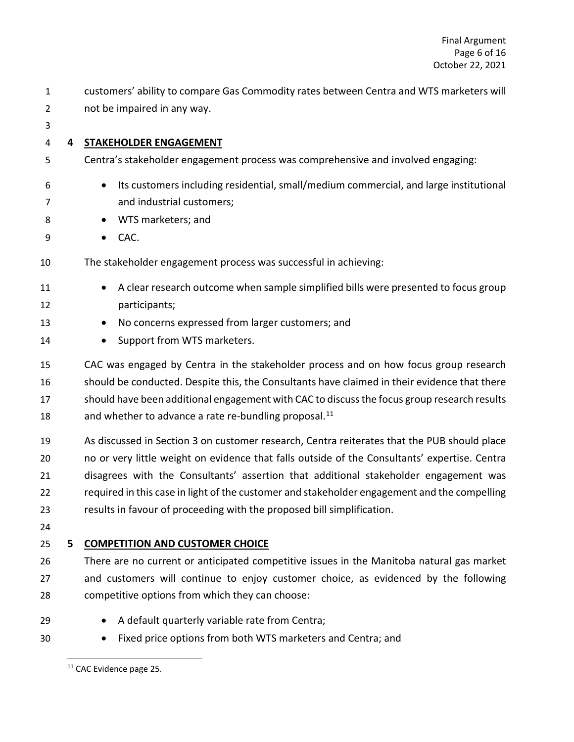<span id="page-8-0"></span>

| $\mathbf{1}$ |   | customers' ability to compare Gas Commodity rates between Centra and WTS marketers will       |
|--------------|---|-----------------------------------------------------------------------------------------------|
| 2            |   | not be impaired in any way.                                                                   |
| 3            |   |                                                                                               |
| 4            | 4 | <b>STAKEHOLDER ENGAGEMENT</b>                                                                 |
| 5            |   | Centra's stakeholder engagement process was comprehensive and involved engaging:              |
| 6            |   | Its customers including residential, small/medium commercial, and large institutional         |
| 7            |   | and industrial customers;                                                                     |
| 8            |   | WTS marketers; and                                                                            |
| 9            |   | CAC.<br>$\bullet$                                                                             |
| 10           |   | The stakeholder engagement process was successful in achieving:                               |
| 11           |   | A clear research outcome when sample simplified bills were presented to focus group           |
| 12           |   | participants;                                                                                 |
| 13           |   | No concerns expressed from larger customers; and                                              |
| 14           |   | Support from WTS marketers.<br>$\bullet$                                                      |
| 15           |   | CAC was engaged by Centra in the stakeholder process and on how focus group research          |
| 16           |   | should be conducted. Despite this, the Consultants have claimed in their evidence that there  |
| 17           |   | should have been additional engagement with CAC to discuss the focus group research results   |
| 18           |   | and whether to advance a rate re-bundling proposal. <sup>11</sup>                             |
| 19           |   | As discussed in Section 3 on customer research, Centra reiterates that the PUB should place   |
| 20           |   | no or very little weight on evidence that falls outside of the Consultants' expertise. Centra |
| 21           |   | disagrees with the Consultants' assertion that additional stakeholder engagement was          |
| 22           |   | required in this case in light of the customer and stakeholder engagement and the compelling  |
| 23           |   | results in favour of proceeding with the proposed bill simplification.                        |
| 24           |   |                                                                                               |
| 25           | 5 | <b>COMPETITION AND CUSTOMER CHOICE</b>                                                        |
| 26           |   | There are no current or anticipated competitive issues in the Manitoba natural gas market     |
| 27           |   | and customers will continue to enjoy customer choice, as evidenced by the following           |
| 28           |   | competitive options from which they can choose:                                               |
| 29           |   | A default quarterly variable rate from Centra;                                                |
| 30           |   | Fixed price options from both WTS marketers and Centra; and                                   |

<span id="page-8-2"></span><span id="page-8-1"></span><sup>&</sup>lt;sup>11</sup> CAC Evidence page 25.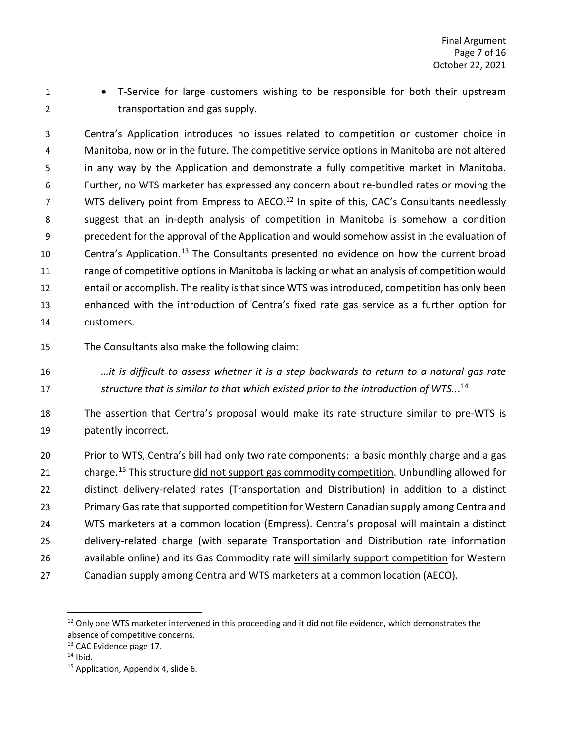- 
- 1 T-Service for large customers wishing to be responsible for both their upstream 2 transportation and gas supply.

 Centra's Application introduces no issues related to competition or customer choice in Manitoba, now or in the future. The competitive service options in Manitoba are not altered in any way by the Application and demonstrate a fully competitive market in Manitoba. Further, no WTS marketer has expressed any concern about re-bundled rates or moving the WTS delivery point from Empress to AECO.<sup>12</sup> In spite of this, CAC's Consultants needlessly suggest that an in-depth analysis of competition in Manitoba is somehow a condition precedent for the approval of the Application and would somehow assist in the evaluation of 10 Centra's Application.<sup>[13](#page-9-1)</sup> The Consultants presented no evidence on how the current broad range of competitive options in Manitoba is lacking or what an analysis of competition would entail or accomplish. The reality is that since WTS was introduced, competition has only been enhanced with the introduction of Centra's fixed rate gas service as a further option for customers.

- The Consultants also make the following claim:
- *…it is difficult to assess whether it is a step backwards to return to a natural gas rate structure that is similar to that which existed prior to the introduction of WTS..*. [14](#page-9-2)

 The assertion that Centra's proposal would make its rate structure similar to pre-WTS is patently incorrect.

 Prior to WTS, Centra's bill had only two rate components: a basic monthly charge and a gas 21 charge.<sup>[15](#page-9-3)</sup> This structure did not support gas commodity competition. Unbundling allowed for distinct delivery-related rates (Transportation and Distribution) in addition to a distinct Primary Gas rate that supported competition for Western Canadian supply among Centra and WTS marketers at a common location (Empress). Centra's proposal will maintain a distinct delivery-related charge (with separate Transportation and Distribution rate information available online) and its Gas Commodity rate will similarly support competition for Western Canadian supply among Centra and WTS marketers at a common location (AECO).

<span id="page-9-0"></span><sup>&</sup>lt;sup>12</sup> Only one WTS marketer intervened in this proceeding and it did not file evidence, which demonstrates the absence of competitive concerns.

<span id="page-9-1"></span><sup>&</sup>lt;sup>13</sup> CAC Evidence page 17.

<span id="page-9-2"></span>Ibid.

<span id="page-9-3"></span><sup>&</sup>lt;sup>15</sup> Application, Appendix 4, slide 6.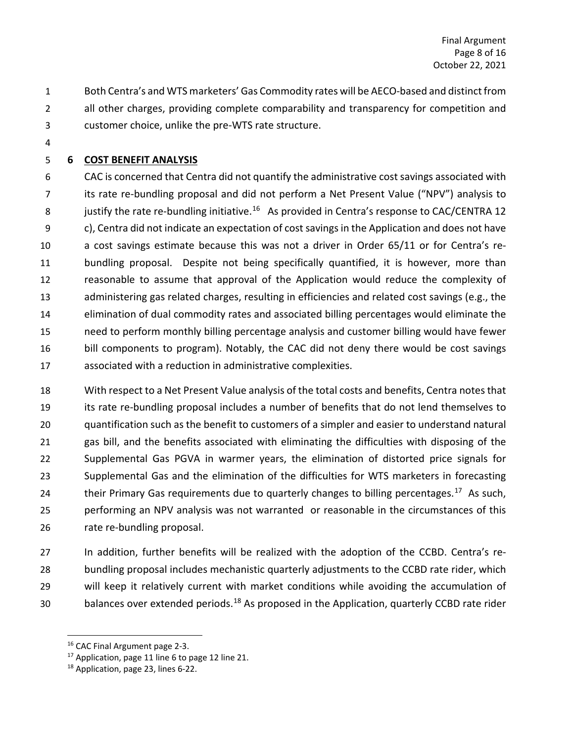- Both Centra's and WTS marketers' Gas Commodity rates will be AECO-based and distinct from all other charges, providing complete comparability and transparency for competition and customer choice, unlike the pre-WTS rate structure.
- 

# <span id="page-10-0"></span>**6 COST BENEFIT ANALYSIS**

 CAC is concerned that Centra did not quantify the administrative cost savings associated with its rate re-bundling proposal and did not perform a Net Present Value ("NPV") analysis to 8 justify the rate re-bundling initiative.<sup>16</sup> As provided in Centra's response to CAC/CENTRA 12 c), Centra did not indicate an expectation of cost savings in the Application and does not have a cost savings estimate because this was not a driver in Order 65/11 or for Centra's re- bundling proposal. Despite not being specifically quantified, it is however, more than reasonable to assume that approval of the Application would reduce the complexity of administering gas related charges, resulting in efficiencies and related cost savings (e.g., the elimination of dual commodity rates and associated billing percentages would eliminate the need to perform monthly billing percentage analysis and customer billing would have fewer bill components to program). Notably, the CAC did not deny there would be cost savings associated with a reduction in administrative complexities.

 With respect to a Net Present Value analysis of the total costs and benefits, Centra notes that its rate re-bundling proposal includes a number of benefits that do not lend themselves to quantification such as the benefit to customers of a simpler and easier to understand natural gas bill, and the benefits associated with eliminating the difficulties with disposing of the Supplemental Gas PGVA in warmer years, the elimination of distorted price signals for Supplemental Gas and the elimination of the difficulties for WTS marketers in forecasting 24 their Primary Gas requirements due to quarterly changes to billing percentages.<sup>[17](#page-10-2)</sup> As such, performing an NPV analysis was not warranted or reasonable in the circumstances of this rate re-bundling proposal.

 In addition, further benefits will be realized with the adoption of the CCBD. Centra's re- bundling proposal includes mechanistic quarterly adjustments to the CCBD rate rider, which will keep it relatively current with market conditions while avoiding the accumulation of 30 balances over extended periods.<sup>[18](#page-10-3)</sup> As proposed in the Application, quarterly CCBD rate rider

<span id="page-10-2"></span><span id="page-10-1"></span><sup>&</sup>lt;sup>16</sup> CAC Final Argument page 2-3.

Application, page 11 line 6 to page 12 line 21.

<span id="page-10-3"></span>Application, page 23, lines 6-22.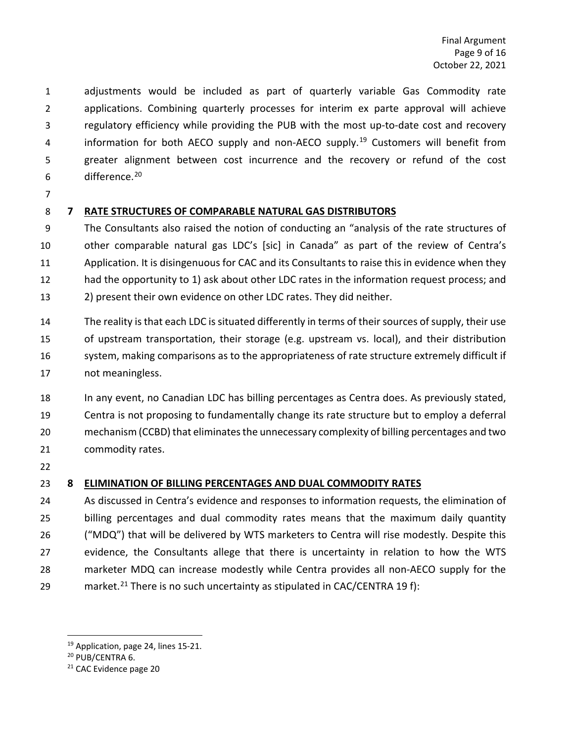adjustments would be included as part of quarterly variable Gas Commodity rate applications. Combining quarterly processes for interim ex parte approval will achieve regulatory efficiency while providing the PUB with the most up-to-date cost and recovery 4 information for both AECO supply and non-AECO supply.<sup>19</sup> Customers will benefit from greater alignment between cost incurrence and the recovery or refund of the cost difference.[20](#page-11-3)

## <span id="page-11-0"></span>**7 RATE STRUCTURES OF COMPARABLE NATURAL GAS DISTRIBUTORS**

 The Consultants also raised the notion of conducting an "analysis of the rate structures of other comparable natural gas LDC's [sic] in Canada" as part of the review of Centra's 11 Application. It is disingenuous for CAC and its Consultants to raise this in evidence when they had the opportunity to 1) ask about other LDC rates in the information request process; and 2) present their own evidence on other LDC rates. They did neither.

 The reality is that each LDC is situated differently in terms of their sources of supply, their use of upstream transportation, their storage (e.g. upstream vs. local), and their distribution system, making comparisons as to the appropriateness of rate structure extremely difficult if not meaningless.

 In any event, no Canadian LDC has billing percentages as Centra does. As previously stated, Centra is not proposing to fundamentally change its rate structure but to employ a deferral mechanism (CCBD) that eliminates the unnecessary complexity of billing percentages and two commodity rates.

## <span id="page-11-1"></span>**8 ELIMINATION OF BILLING PERCENTAGES AND DUAL COMMODITY RATES**

 As discussed in Centra's evidence and responses to information requests, the elimination of billing percentages and dual commodity rates means that the maximum daily quantity ("MDQ") that will be delivered by WTS marketers to Centra will rise modestly. Despite this evidence, the Consultants allege that there is uncertainty in relation to how the WTS marketer MDQ can increase modestly while Centra provides all non-AECO supply for the 29 market.<sup>[21](#page-11-4)</sup> There is no such uncertainty as stipulated in CAC/CENTRA 19 f):

<span id="page-11-2"></span><sup>&</sup>lt;sup>19</sup> Application, page 24, lines 15-21.

<span id="page-11-3"></span>PUB/CENTRA 6.

<span id="page-11-4"></span>CAC Evidence page 20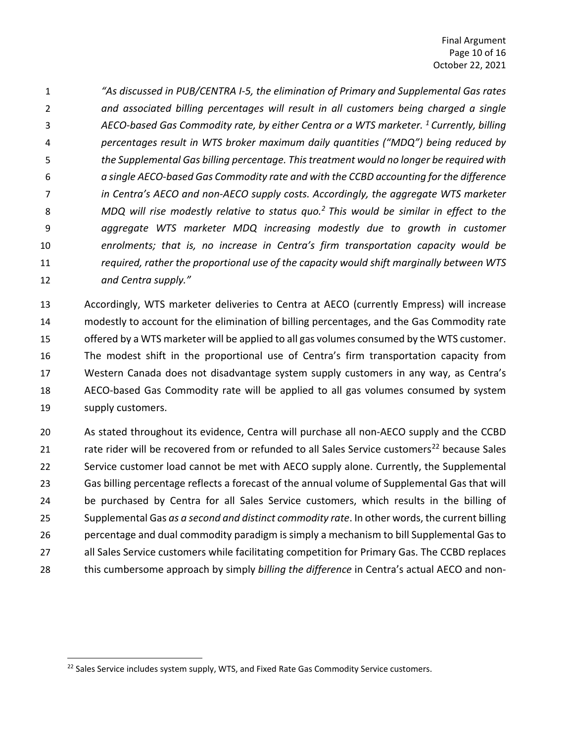*"As discussed in PUB/CENTRA I-5, the elimination of Primary and Supplemental Gas rates and associated billing percentages will result in all customers being charged a single AECO-based Gas Commodity rate, by either Centra or a WTS marketer. <sup>1</sup> Currently, billing percentages result in WTS broker maximum daily quantities ("MDQ") being reduced by the Supplemental Gas billing percentage. This treatment would no longer be required with a single AECO-based Gas Commodity rate and with the CCBD accounting for the difference in Centra's AECO and non-AECO supply costs. Accordingly, the aggregate WTS marketer MDQ will rise modestly relative to status quo.2 This would be similar in effect to the aggregate WTS marketer MDQ increasing modestly due to growth in customer enrolments; that is, no increase in Centra's firm transportation capacity would be required, rather the proportional use of the capacity would shift marginally between WTS and Centra supply."*

 Accordingly, WTS marketer deliveries to Centra at AECO (currently Empress) will increase modestly to account for the elimination of billing percentages, and the Gas Commodity rate 15 offered by a WTS marketer will be applied to all gas volumes consumed by the WTS customer. The modest shift in the proportional use of Centra's firm transportation capacity from Western Canada does not disadvantage system supply customers in any way, as Centra's AECO-based Gas Commodity rate will be applied to all gas volumes consumed by system supply customers.

 As stated throughout its evidence, Centra will purchase all non-AECO supply and the CCBD 21 rate rider will be recovered from or refunded to all Sales Service customers<sup>[22](#page-12-0)</sup> because Sales Service customer load cannot be met with AECO supply alone. Currently, the Supplemental Gas billing percentage reflects a forecast of the annual volume of Supplemental Gas that will 24 be purchased by Centra for all Sales Service customers, which results in the billing of Supplemental Gas *as a second and distinct commodity rate*. In other words, the current billing percentage and dual commodity paradigm is simply a mechanism to bill Supplemental Gas to all Sales Service customers while facilitating competition for Primary Gas. The CCBD replaces this cumbersome approach by simply *billing the difference* in Centra's actual AECO and non-

<span id="page-12-0"></span><sup>&</sup>lt;sup>22</sup> Sales Service includes system supply, WTS, and Fixed Rate Gas Commodity Service customers.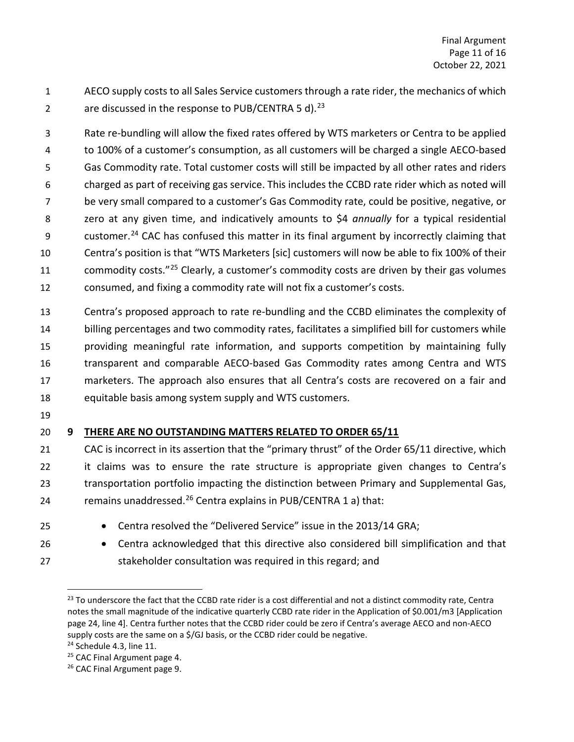AECO supply costs to all Sales Service customers through a rate rider, the mechanics of which 2  $\frac{1}{2}$  are discussed in the response to PUB/CENTRA 5 d).<sup>[23](#page-13-1)</sup>

 Rate re-bundling will allow the fixed rates offered by WTS marketers or Centra to be applied to 100% of a customer's consumption, as all customers will be charged a single AECO-based Gas Commodity rate. Total customer costs will still be impacted by all other rates and riders charged as part of receiving gas service. This includes the CCBD rate rider which as noted will be very small compared to a customer's Gas Commodity rate, could be positive, negative, or zero at any given time, and indicatively amounts to \$4 *annually* for a typical residential 9 customer.<sup>[24](#page-13-2)</sup> CAC has confused this matter in its final argument by incorrectly claiming that Centra's position is that "WTS Marketers [sic] customers will now be able to fix 100% of their 11 commodity costs."<sup>[25](#page-13-3)</sup> Clearly, a customer's commodity costs are driven by their gas volumes consumed, and fixing a commodity rate will not fix a customer's costs.

 Centra's proposed approach to rate re-bundling and the CCBD eliminates the complexity of billing percentages and two commodity rates, facilitates a simplified bill for customers while providing meaningful rate information, and supports competition by maintaining fully transparent and comparable AECO-based Gas Commodity rates among Centra and WTS marketers. The approach also ensures that all Centra's costs are recovered on a fair and equitable basis among system supply and WTS customers.

# <span id="page-13-0"></span>**9 THERE ARE NO OUTSTANDING MATTERS RELATED TO ORDER 65/11**

 CAC is incorrect in its assertion that the "primary thrust" of the Order 65/11 directive, which it claims was to ensure the rate structure is appropriate given changes to Centra's transportation portfolio impacting the distinction between Primary and Supplemental Gas, 24 metaleries remains unaddressed.<sup>[26](#page-13-4)</sup> Centra explains in PUB/CENTRA 1 a) that:

- 
- Centra resolved the "Delivered Service" issue in the 2013/14 GRA;
- Centra acknowledged that this directive also considered bill simplification and that stakeholder consultation was required in this regard; and

<span id="page-13-1"></span><sup>&</sup>lt;sup>23</sup> To underscore the fact that the CCBD rate rider is a cost differential and not a distinct commodity rate, Centra notes the small magnitude of the indicative quarterly CCBD rate rider in the Application of \$0.001/m3 [Application page 24, line 4]. Centra further notes that the CCBD rider could be zero if Centra's average AECO and non-AECO supply costs are the same on a \$/GJ basis, or the CCBD rider could be negative.<br><sup>24</sup> Schedule 4.3, line 11.

<span id="page-13-2"></span>

<span id="page-13-3"></span><sup>&</sup>lt;sup>25</sup> CAC Final Argument page 4.

<span id="page-13-4"></span><sup>&</sup>lt;sup>26</sup> CAC Final Argument page 9.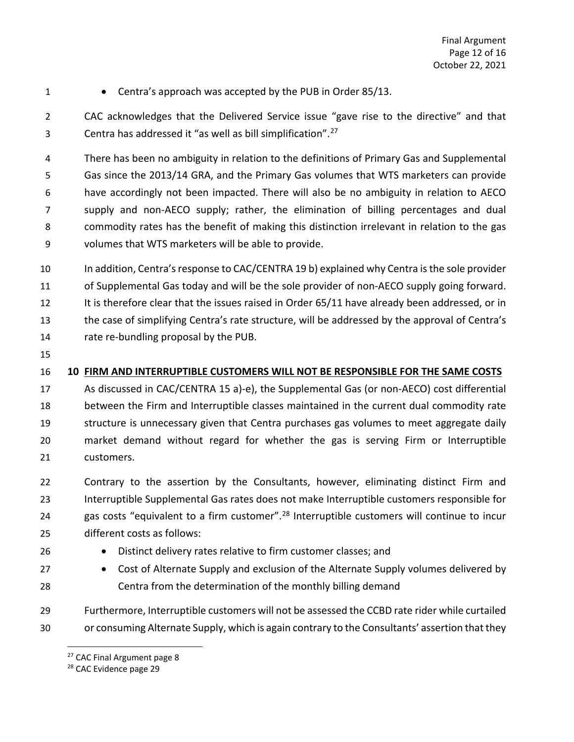- 
- 1 Centra's approach was accepted by the PUB in Order 85/13.

 CAC acknowledges that the Delivered Service issue "gave rise to the directive" and that Centra has addressed it "as well as bill simplification".[27](#page-14-1)

 There has been no ambiguity in relation to the definitions of Primary Gas and Supplemental Gas since the 2013/14 GRA, and the Primary Gas volumes that WTS marketers can provide have accordingly not been impacted. There will also be no ambiguity in relation to AECO supply and non-AECO supply; rather, the elimination of billing percentages and dual commodity rates has the benefit of making this distinction irrelevant in relation to the gas volumes that WTS marketers will be able to provide.

 In addition, Centra's response to CAC/CENTRA 19 b) explained why Centra is the sole provider 11 of Supplemental Gas today and will be the sole provider of non-AECO supply going forward. 12 It is therefore clear that the issues raised in Order 65/11 have already been addressed, or in the case of simplifying Centra's rate structure, will be addressed by the approval of Centra's rate re-bundling proposal by the PUB.

# <span id="page-14-0"></span>**10 FIRM AND INTERRUPTIBLE CUSTOMERS WILL NOT BE RESPONSIBLE FOR THE SAME COSTS**

 As discussed in CAC/CENTRA 15 a)-e), the Supplemental Gas (or non-AECO) cost differential between the Firm and Interruptible classes maintained in the current dual commodity rate structure is unnecessary given that Centra purchases gas volumes to meet aggregate daily market demand without regard for whether the gas is serving Firm or Interruptible customers.

 Contrary to the assertion by the Consultants, however, eliminating distinct Firm and Interruptible Supplemental Gas rates does not make Interruptible customers responsible for 24 gas costs "equivalent to a firm customer".<sup>[28](#page-14-2)</sup> Interruptible customers will continue to incur different costs as follows:

- 
- Distinct delivery rates relative to firm customer classes; and
- Cost of Alternate Supply and exclusion of the Alternate Supply volumes delivered by Centra from the determination of the monthly billing demand

<span id="page-14-1"></span> Furthermore, Interruptible customers will not be assessed the CCBD rate rider while curtailed or consuming Alternate Supply, which is again contrary to the Consultants' assertion that they

<sup>&</sup>lt;sup>27</sup> CAC Final Argument page 8

<span id="page-14-2"></span><sup>&</sup>lt;sup>28</sup> CAC Evidence page 29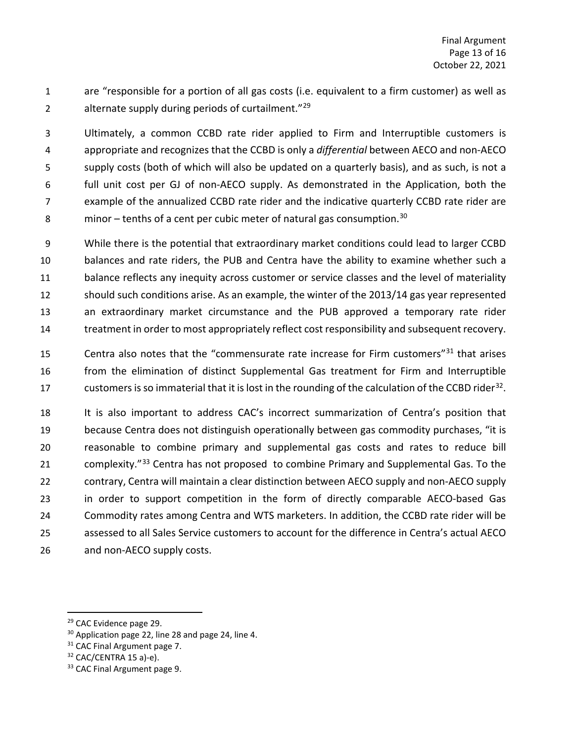are "responsible for a portion of all gas costs (i.e. equivalent to a firm customer) as well as 2 alternate supply during periods of curtailment."<sup>[29](#page-15-0)</sup>

 Ultimately, a common CCBD rate rider applied to Firm and Interruptible customers is appropriate and recognizes that the CCBD is only a *differential* between AECO and non-AECO supply costs (both of which will also be updated on a quarterly basis), and as such, is not a full unit cost per GJ of non-AECO supply. As demonstrated in the Application, both the example of the annualized CCBD rate rider and the indicative quarterly CCBD rate rider are 8 minor – tenths of a cent per cubic meter of natural gas consumption.<sup>[30](#page-15-1)</sup>

 While there is the potential that extraordinary market conditions could lead to larger CCBD balances and rate riders, the PUB and Centra have the ability to examine whether such a balance reflects any inequity across customer or service classes and the level of materiality should such conditions arise. As an example, the winter of the 2013/14 gas year represented an extraordinary market circumstance and the PUB approved a temporary rate rider treatment in order to most appropriately reflect cost responsibility and subsequent recovery.

15 Centra also notes that the "commensurate rate increase for Firm customers" that arises from the elimination of distinct Supplemental Gas treatment for Firm and Interruptible customers is so immaterial that it is lost in the rounding of the calculation of the CCBD rider<sup>[32](#page-15-3)</sup>.

 It is also important to address CAC's incorrect summarization of Centra's position that because Centra does not distinguish operationally between gas commodity purchases, "it is reasonable to combine primary and supplemental gas costs and rates to reduce bill 21 complexity.<sup>"[33](#page-15-4)</sup> Centra has not proposed to combine Primary and Supplemental Gas. To the contrary, Centra will maintain a clear distinction between AECO supply and non-AECO supply in order to support competition in the form of directly comparable AECO-based Gas Commodity rates among Centra and WTS marketers. In addition, the CCBD rate rider will be assessed to all Sales Service customers to account for the difference in Centra's actual AECO and non-AECO supply costs.

<span id="page-15-0"></span><sup>&</sup>lt;sup>29</sup> CAC Evidence page 29.

<span id="page-15-1"></span><sup>&</sup>lt;sup>30</sup> Application page 22, line 28 and page 24, line 4.

<span id="page-15-3"></span><span id="page-15-2"></span>CAC Final Argument page 7.

CAC/CENTRA 15 a)-e).

<span id="page-15-4"></span><sup>&</sup>lt;sup>33</sup> CAC Final Argument page 9.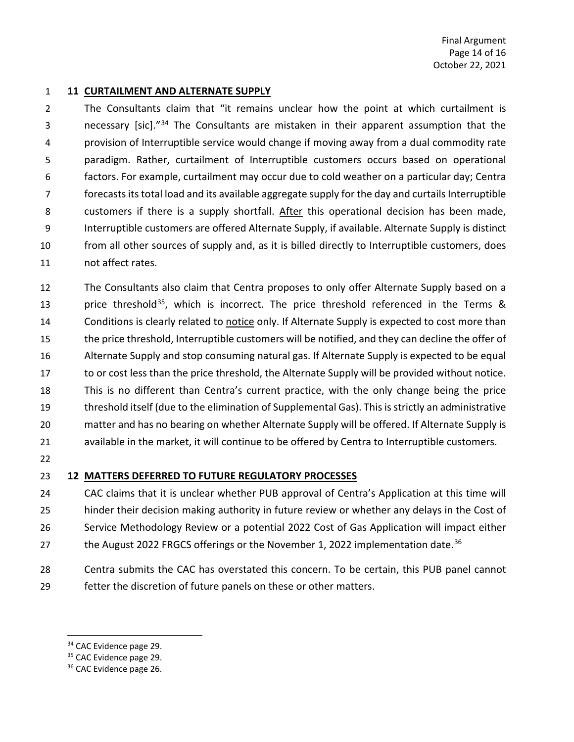#### <span id="page-16-0"></span>**11 CURTAILMENT AND ALTERNATE SUPPLY**

 The Consultants claim that "it remains unclear how the point at which curtailment is a state of some or section of the consultants are mistaken in their apparent assumption that the provision of Interruptible service would change if moving away from a dual commodity rate paradigm. Rather, curtailment of Interruptible customers occurs based on operational factors. For example, curtailment may occur due to cold weather on a particular day; Centra forecasts its total load and its available aggregate supply for the day and curtails Interruptible 8 customers if there is a supply shortfall. After this operational decision has been made, Interruptible customers are offered Alternate Supply, if available. Alternate Supply is distinct from all other sources of supply and, as it is billed directly to Interruptible customers, does not affect rates.

 The Consultants also claim that Centra proposes to only offer Alternate Supply based on a 13 brice threshold<sup>[35](#page-16-3)</sup>, which is incorrect. The price threshold referenced in the Terms & 14 Conditions is clearly related to notice only. If Alternate Supply is expected to cost more than the price threshold, Interruptible customers will be notified, and they can decline the offer of Alternate Supply and stop consuming natural gas. If Alternate Supply is expected to be equal to or cost less than the price threshold, the Alternate Supply will be provided without notice. This is no different than Centra's current practice, with the only change being the price threshold itself (due to the elimination of Supplemental Gas). This is strictly an administrative matter and has no bearing on whether Alternate Supply will be offered. If Alternate Supply is available in the market, it will continue to be offered by Centra to Interruptible customers.

### <span id="page-16-1"></span>**12 MATTERS DEFERRED TO FUTURE REGULATORY PROCESSES**

 CAC claims that it is unclear whether PUB approval of Centra's Application at this time will hinder their decision making authority in future review or whether any delays in the Cost of Service Methodology Review or a potential 2022 Cost of Gas Application will impact either 27 the August 2022 FRGCS offerings or the November 1, 2022 implementation date.<sup>[36](#page-16-4)</sup>

 Centra submits the CAC has overstated this concern. To be certain, this PUB panel cannot fetter the discretion of future panels on these or other matters.

<span id="page-16-3"></span><span id="page-16-2"></span><sup>&</sup>lt;sup>34</sup> CAC Evidence page 29.

<sup>&</sup>lt;sup>35</sup> CAC Evidence page 29.

<span id="page-16-4"></span><sup>&</sup>lt;sup>36</sup> CAC Evidence page 26.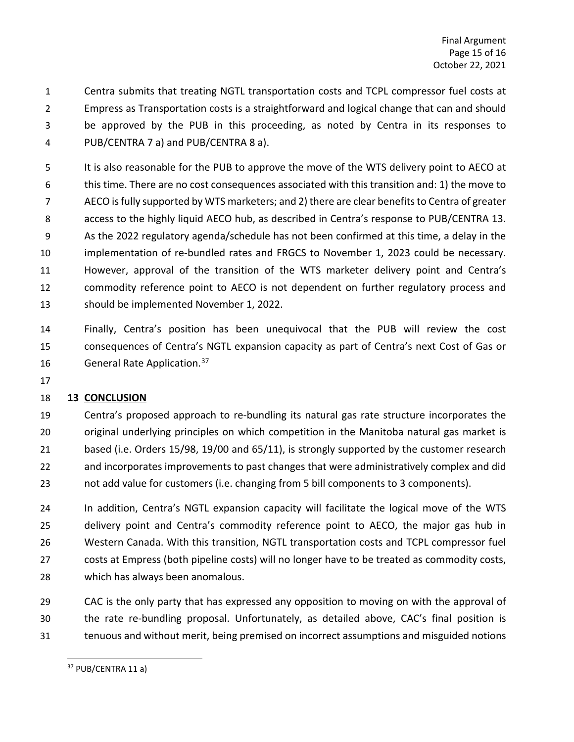Centra submits that treating NGTL transportation costs and TCPL compressor fuel costs at Empress as Transportation costs is a straightforward and logical change that can and should be approved by the PUB in this proceeding, as noted by Centra in its responses to PUB/CENTRA 7 a) and PUB/CENTRA 8 a).

 It is also reasonable for the PUB to approve the move of the WTS delivery point to AECO at this time. There are no cost consequences associated with this transition and: 1) the move to AECO is fully supported by WTS marketers; and 2) there are clear benefits to Centra of greater access to the highly liquid AECO hub, as described in Centra's response to PUB/CENTRA 13. As the 2022 regulatory agenda/schedule has not been confirmed at this time, a delay in the implementation of re-bundled rates and FRGCS to November 1, 2023 could be necessary. However, approval of the transition of the WTS marketer delivery point and Centra's commodity reference point to AECO is not dependent on further regulatory process and should be implemented November 1, 2022.

 Finally, Centra's position has been unequivocal that the PUB will review the cost consequences of Centra's NGTL expansion capacity as part of Centra's next Cost of Gas or 16 **General Rate Application.**<sup>[37](#page-17-1)</sup>

# <span id="page-17-0"></span>**13 CONCLUSION**

 Centra's proposed approach to re-bundling its natural gas rate structure incorporates the original underlying principles on which competition in the Manitoba natural gas market is based (i.e. Orders 15/98, 19/00 and 65/11), is strongly supported by the customer research and incorporates improvements to past changes that were administratively complex and did not add value for customers (i.e. changing from 5 bill components to 3 components).

 In addition, Centra's NGTL expansion capacity will facilitate the logical move of the WTS delivery point and Centra's commodity reference point to AECO, the major gas hub in Western Canada. With this transition, NGTL transportation costs and TCPL compressor fuel costs at Empress (both pipeline costs) will no longer have to be treated as commodity costs, which has always been anomalous.

 CAC is the only party that has expressed any opposition to moving on with the approval of the rate re-bundling proposal. Unfortunately, as detailed above, CAC's final position is tenuous and without merit, being premised on incorrect assumptions and misguided notions

<span id="page-17-1"></span><sup>&</sup>lt;sup>37</sup> PUB/CENTRA 11 a)